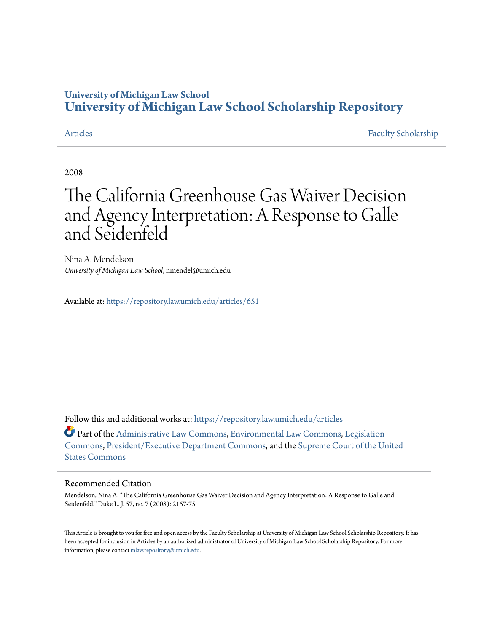# **University of Michigan Law School [University of Michigan Law School Scholarship Repository](https://repository.law.umich.edu?utm_source=repository.law.umich.edu%2Farticles%2F651&utm_medium=PDF&utm_campaign=PDFCoverPages)**

[Articles](https://repository.law.umich.edu/articles?utm_source=repository.law.umich.edu%2Farticles%2F651&utm_medium=PDF&utm_campaign=PDFCoverPages) [Faculty Scholarship](https://repository.law.umich.edu/faculty_scholarship?utm_source=repository.law.umich.edu%2Farticles%2F651&utm_medium=PDF&utm_campaign=PDFCoverPages)

2008

# The California Greenhouse Gas Waiver Decision and Agency Interpretation: A Response to Galle and Seidenfeld

Nina A. Mendelson *University of Michigan Law School*, nmendel@umich.edu

Available at: <https://repository.law.umich.edu/articles/651>

Follow this and additional works at: [https://repository.law.umich.edu/articles](https://repository.law.umich.edu/articles?utm_source=repository.law.umich.edu%2Farticles%2F651&utm_medium=PDF&utm_campaign=PDFCoverPages)

Part of the [Administrative Law Commons,](http://network.bepress.com/hgg/discipline/579?utm_source=repository.law.umich.edu%2Farticles%2F651&utm_medium=PDF&utm_campaign=PDFCoverPages) [Environmental Law Commons](http://network.bepress.com/hgg/discipline/599?utm_source=repository.law.umich.edu%2Farticles%2F651&utm_medium=PDF&utm_campaign=PDFCoverPages), [Legislation](http://network.bepress.com/hgg/discipline/859?utm_source=repository.law.umich.edu%2Farticles%2F651&utm_medium=PDF&utm_campaign=PDFCoverPages) [Commons,](http://network.bepress.com/hgg/discipline/859?utm_source=repository.law.umich.edu%2Farticles%2F651&utm_medium=PDF&utm_campaign=PDFCoverPages) [President/Executive Department Commons,](http://network.bepress.com/hgg/discipline/1118?utm_source=repository.law.umich.edu%2Farticles%2F651&utm_medium=PDF&utm_campaign=PDFCoverPages) and the [Supreme Court of the United](http://network.bepress.com/hgg/discipline/1350?utm_source=repository.law.umich.edu%2Farticles%2F651&utm_medium=PDF&utm_campaign=PDFCoverPages) [States Commons](http://network.bepress.com/hgg/discipline/1350?utm_source=repository.law.umich.edu%2Farticles%2F651&utm_medium=PDF&utm_campaign=PDFCoverPages)

#### Recommended Citation

Mendelson, Nina A. "The California Greenhouse Gas Waiver Decision and Agency Interpretation: A Response to Galle and Seidenfeld." Duke L. J. 57, no. 7 (2008): 2157-75.

This Article is brought to you for free and open access by the Faculty Scholarship at University of Michigan Law School Scholarship Repository. It has been accepted for inclusion in Articles by an authorized administrator of University of Michigan Law School Scholarship Repository. For more information, please contact [mlaw.repository@umich.edu.](mailto:mlaw.repository@umich.edu)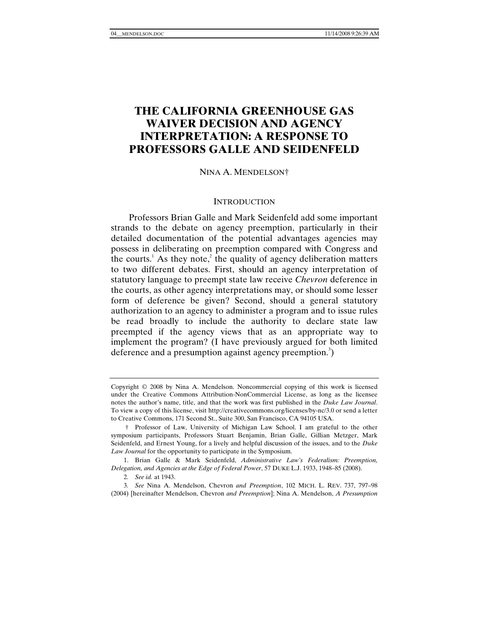## **THE CALIFORNIA GREENHOUSE GAS WAIVER DECISION AND AGENCY INTERPRETATION: A RESPONSE TO PROFESSORS GALLE AND SEIDENFELD**

#### NINA A. MENDELSON†

#### **INTRODUCTION**

Professors Brian Galle and Mark Seidenfeld add some important strands to the debate on agency preemption, particularly in their detailed documentation of the potential advantages agencies may possess in deliberating on preemption compared with Congress and the courts.<sup>1</sup> As they note,<sup>2</sup> the quality of agency deliberation matters to two different debates. First, should an agency interpretation of statutory language to preempt state law receive *Chevron* deference in the courts, as other agency interpretations may, or should some lesser form of deference be given? Second, should a general statutory authorization to an agency to administer a program and to issue rules be read broadly to include the authority to declare state law preempted if the agency views that as an appropriate way to implement the program? (I have previously argued for both limited deference and a presumption against agency preemption.<sup>3</sup>)

Copyright © 2008 by Nina A. Mendelson. Noncommercial copying of this work is licensed under the Creative Commons Attribution-NonCommercial License, as long as the licensee notes the author's name, title, and that the work was first published in the *Duke Law Journal*. To view a copy of this license, visit http://creativecommons.org/licenses/by-nc/3.0 or send a letter to Creative Commons, 171 Second St., Suite 300, San Francisco, CA 94105 USA.

 <sup>†</sup> Professor of Law, University of Michigan Law School. I am grateful to the other symposium participants, Professors Stuart Benjamin, Brian Galle, Gillian Metzger, Mark Seidenfeld, and Ernest Young, for a lively and helpful discussion of the issues, and to the *Duke Law Journal* for the opportunity to participate in the Symposium.

 <sup>1.</sup> Brian Galle & Mark Seidenfeld, *Administrative Law's Federalism: Preemption, Delegation, and Agencies at the Edge of Federal Power*, 57 DUKE L.J. 1933, 1948–85 (2008).

<sup>2</sup>*. See id.* at 1943.

<sup>3</sup>*. See* Nina A. Mendelson, Chevron *and Preemption*, 102 MICH. L. REV. 737, 797–98 (2004) [hereinafter Mendelson, Chevron *and Preemption*]; Nina A. Mendelson, *A Presumption*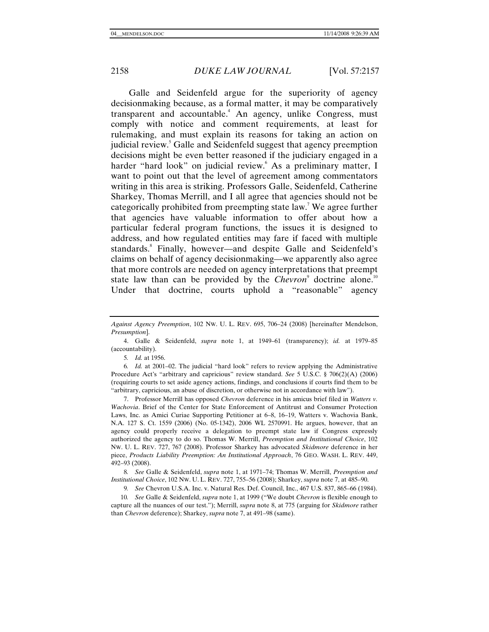Galle and Seidenfeld argue for the superiority of agency decisionmaking because, as a formal matter, it may be comparatively transparent and accountable.<sup>4</sup> An agency, unlike Congress, must comply with notice and comment requirements, at least for rulemaking, and must explain its reasons for taking an action on judicial review.<sup>5</sup> Galle and Seidenfeld suggest that agency preemption decisions might be even better reasoned if the judiciary engaged in a harder "hard look" on judicial review. As a preliminary matter, I want to point out that the level of agreement among commentators writing in this area is striking. Professors Galle, Seidenfeld, Catherine Sharkey, Thomas Merrill, and I all agree that agencies should not be categorically prohibited from preempting state law.<sup>7</sup> We agree further that agencies have valuable information to offer about how a particular federal program functions, the issues it is designed to address, and how regulated entities may fare if faced with multiple standards.<sup>8</sup> Finally, however—and despite Galle and Seidenfeld's claims on behalf of agency decisionmaking—we apparently also agree that more controls are needed on agency interpretations that preempt state law than can be provided by the *Chevron*<sup>9</sup> doctrine alone.<sup>10</sup> Under that doctrine, courts uphold a "reasonable" agency

5*. Id.* at 1956.

 7. Professor Merrill has opposed *Chevron* deference in his amicus brief filed in *Watters v. Wachovia*. Brief of the Center for State Enforcement of Antitrust and Consumer Protection Laws, Inc. as Amici Curiae Supporting Petitioner at 6–8, 16–19, Watters v. Wachovia Bank, N.A. 127 S. Ct. 1559 (2006) (No. 05-1342), 2006 WL 2570991. He argues, however, that an agency could properly receive a delegation to preempt state law if Congress expressly authorized the agency to do so. Thomas W. Merrill, *Preemption and Institutional Choice*, 102 NW. U. L. REV. 727, 767 (2008). Professor Sharkey has advocated *Skidmore* deference in her piece, *Products Liability Preemption: An Institutional Approach*, 76 GEO. WASH. L. REV. 449, 492–93 (2008).

8*. See* Galle & Seidenfeld, *supra* note 1, at 1971–74; Thomas W. Merrill, *Preemption and Institutional Choice*, 102 NW. U. L. REV. 727, 755–56 (2008); Sharkey, *supra* note 7, at 485–90.

9*. See* Chevron U.S.A. Inc. v. Natural Res. Def. Council, Inc., 467 U.S. 837, 865–66 (1984).

10*. See* Galle & Seidenfeld, *supra* note 1, at 1999 ("We doubt *Chevron* is flexible enough to capture all the nuances of our test."); Merrill, *supra* note 8, at 775 (arguing for *Skidmore* rather than *Chevron* deference); Sharkey, *supra* note 7, at 491–98 (same).

*Against Agency Preemption*, 102 NW. U. L. REV. 695, 706–24 (2008) [hereinafter Mendelson, *Presumption*].

 <sup>4.</sup> Galle & Seidenfeld, *supra* note 1, at 1949–61 (transparency); *id.* at 1979–85 (accountability).

<sup>6</sup>*. Id.* at 2001–02. The judicial "hard look" refers to review applying the Administrative Procedure Act's "arbitrary and capricious" review standard. *See* 5 U.S.C. § 706(2)(A) (2006) (requiring courts to set aside agency actions, findings, and conclusions if courts find them to be "arbitrary, capricious, an abuse of discretion, or otherwise not in accordance with law").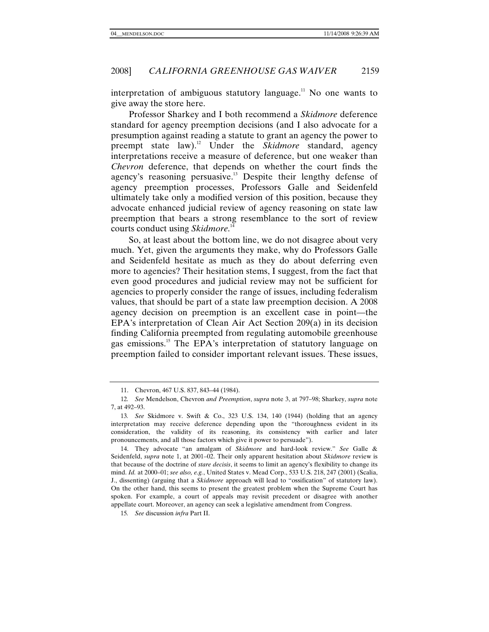interpretation of ambiguous statutory language.<sup>11</sup> No one wants to give away the store here.

Professor Sharkey and I both recommend a *Skidmore* deference standard for agency preemption decisions (and I also advocate for a presumption against reading a statute to grant an agency the power to preempt state law).12 Under the *Skidmore* standard, agency interpretations receive a measure of deference, but one weaker than *Chevron* deference, that depends on whether the court finds the agency's reasoning persuasive.<sup>13</sup> Despite their lengthy defense of agency preemption processes, Professors Galle and Seidenfeld ultimately take only a modified version of this position, because they advocate enhanced judicial review of agency reasoning on state law preemption that bears a strong resemblance to the sort of review courts conduct using *Skidmore*. 14

So, at least about the bottom line, we do not disagree about very much. Yet, given the arguments they make, why do Professors Galle and Seidenfeld hesitate as much as they do about deferring even more to agencies? Their hesitation stems, I suggest, from the fact that even good procedures and judicial review may not be sufficient for agencies to properly consider the range of issues, including federalism values, that should be part of a state law preemption decision. A 2008 agency decision on preemption is an excellent case in point—the EPA's interpretation of Clean Air Act Section 209(a) in its decision finding California preempted from regulating automobile greenhouse gas emissions.<sup>15</sup> The EPA's interpretation of statutory language on preemption failed to consider important relevant issues. These issues,

 <sup>11.</sup> Chevron, 467 U.S. 837, 843–44 (1984).

<sup>12</sup>*. See* Mendelson, Chevron *and Preemption*, *supra* note 3, at 797–98; Sharkey, *supra* note 7, at 492–93.

<sup>13</sup>*. See* Skidmore v. Swift & Co., 323 U.S. 134, 140 (1944) (holding that an agency interpretation may receive deference depending upon the "thoroughness evident in its consideration, the validity of its reasoning, its consistency with earlier and later pronouncements, and all those factors which give it power to persuade").

 <sup>14.</sup> They advocate "an amalgam of *Skidmore* and hard-look review." *See* Galle & Seidenfeld, *supra* note 1, at 2001–02. Their only apparent hesitation about *Skidmore* review is that because of the doctrine of *stare decisis*, it seems to limit an agency's flexibility to change its mind. *Id.* at 2000–01; *see also, e.g.*, United States v. Mead Corp., 533 U.S. 218, 247 (2001) (Scalia, J., dissenting) (arguing that a *Skidmore* approach will lead to "ossification" of statutory law). On the other hand, this seems to present the greatest problem when the Supreme Court has spoken. For example, a court of appeals may revisit precedent or disagree with another appellate court. Moreover, an agency can seek a legislative amendment from Congress.

<sup>15</sup>*. See* discussion *infra* Part II.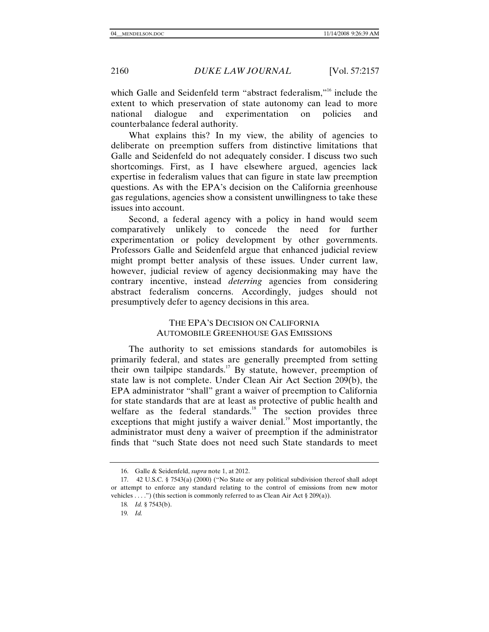which Galle and Seidenfeld term "abstract federalism,"<sup>16</sup> include the extent to which preservation of state autonomy can lead to more national dialogue and experimentation on policies and counterbalance federal authority.

What explains this? In my view, the ability of agencies to deliberate on preemption suffers from distinctive limitations that Galle and Seidenfeld do not adequately consider. I discuss two such shortcomings. First, as I have elsewhere argued, agencies lack expertise in federalism values that can figure in state law preemption questions. As with the EPA's decision on the California greenhouse gas regulations, agencies show a consistent unwillingness to take these issues into account.

Second, a federal agency with a policy in hand would seem comparatively unlikely to concede the need for further experimentation or policy development by other governments. Professors Galle and Seidenfeld argue that enhanced judicial review might prompt better analysis of these issues. Under current law, however, judicial review of agency decisionmaking may have the contrary incentive, instead *deterring* agencies from considering abstract federalism concerns. Accordingly, judges should not presumptively defer to agency decisions in this area.

### THE EPA'S DECISION ON CALIFORNIA AUTOMOBILE GREENHOUSE GAS EMISSIONS

The authority to set emissions standards for automobiles is primarily federal, and states are generally preempted from setting their own tailpipe standards.<sup>17</sup> By statute, however, preemption of state law is not complete. Under Clean Air Act Section 209(b), the EPA administrator "shall" grant a waiver of preemption to California for state standards that are at least as protective of public health and welfare as the federal standards. $18 \text{ T}$  The section provides three exceptions that might justify a waiver denial. $19$  Most importantly, the administrator must deny a waiver of preemption if the administrator finds that "such State does not need such State standards to meet

 <sup>16.</sup> Galle & Seidenfeld, *supra* note 1, at 2012.

 <sup>17. 42</sup> U.S.C. § 7543(a) (2000) ("No State or any political subdivision thereof shall adopt or attempt to enforce any standard relating to the control of emissions from new motor vehicles . . . .") (this section is commonly referred to as Clean Air Act  $\S 209(a)$ ).

<sup>18</sup>*. Id.* § 7543(b).

<sup>19</sup>*. Id.*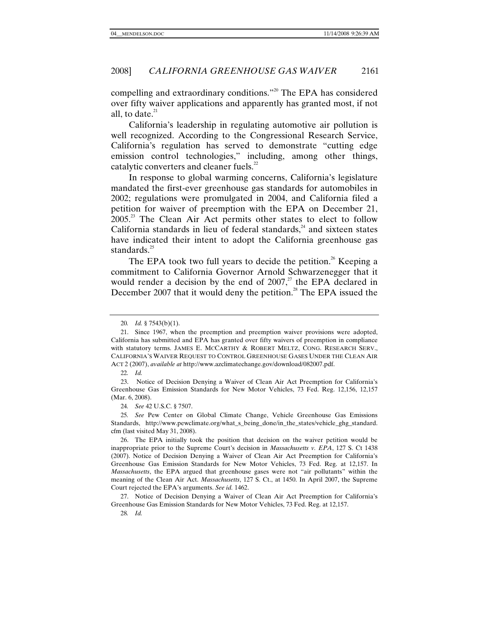compelling and extraordinary conditions."20 The EPA has considered over fifty waiver applications and apparently has granted most, if not all, to date. $21$ 

California's leadership in regulating automotive air pollution is well recognized. According to the Congressional Research Service, California's regulation has served to demonstrate "cutting edge emission control technologies," including, among other things, catalytic converters and cleaner fuels.<sup>22</sup>

In response to global warming concerns, California's legislature mandated the first-ever greenhouse gas standards for automobiles in 2002; regulations were promulgated in 2004, and California filed a petition for waiver of preemption with the EPA on December 21,  $2005<sup>23</sup>$  The Clean Air Act permits other states to elect to follow California standards in lieu of federal standards, $24$  and sixteen states have indicated their intent to adopt the California greenhouse gas standards.<sup>25</sup>

The EPA took two full years to decide the petition.<sup>26</sup> Keeping a commitment to California Governor Arnold Schwarzenegger that it would render a decision by the end of  $2007$ ,<sup>27</sup> the EPA declared in December 2007 that it would deny the petition.<sup>28</sup> The EPA issued the

24*. See* 42 U.S.C. § 7507.

25*. See* Pew Center on Global Climate Change, Vehicle Greenhouse Gas Emissions Standards, http://www.pewclimate.org/what\_s\_being\_done/in\_the\_states/vehicle\_ghg\_standard. cfm (last visited May 31, 2008).

 26. The EPA initially took the position that decision on the waiver petition would be inappropriate prior to the Supreme Court's decision in *Massachusetts v. EPA*, 127 S. Ct 1438 (2007). Notice of Decision Denying a Waiver of Clean Air Act Preemption for California's Greenhouse Gas Emission Standards for New Motor Vehicles, 73 Fed. Reg. at 12,157. In *Massachusetts*, the EPA argued that greenhouse gases were not "air pollutants" within the meaning of the Clean Air Act. *Massachusetts*, 127 S. Ct., at 1450. In April 2007, the Supreme Court rejected the EPA's arguments. *See id.* 1462.

 27. Notice of Decision Denying a Waiver of Clean Air Act Preemption for California's Greenhouse Gas Emission Standards for New Motor Vehicles, 73 Fed. Reg. at 12,157.

28*. Id.*

<sup>20</sup>*. Id.* § 7543(b)(1).

 <sup>21.</sup> Since 1967, when the preemption and preemption waiver provisions were adopted, California has submitted and EPA has granted over fifty waivers of preemption in compliance with statutory terms. JAMES E. MCCARTHY & ROBERT MELTZ, CONG. RESEARCH SERV., CALIFORNIA'S WAIVER REQUEST TO CONTROL GREENHOUSE GASES UNDER THE CLEAN AIR ACT 2 (2007), *available at* http://www.azclimatechange.gov/download/082007.pdf.

<sup>22</sup>*. Id.*

 <sup>23.</sup> Notice of Decision Denying a Waiver of Clean Air Act Preemption for California's Greenhouse Gas Emission Standards for New Motor Vehicles, 73 Fed. Reg. 12,156, 12,157 (Mar. 6, 2008).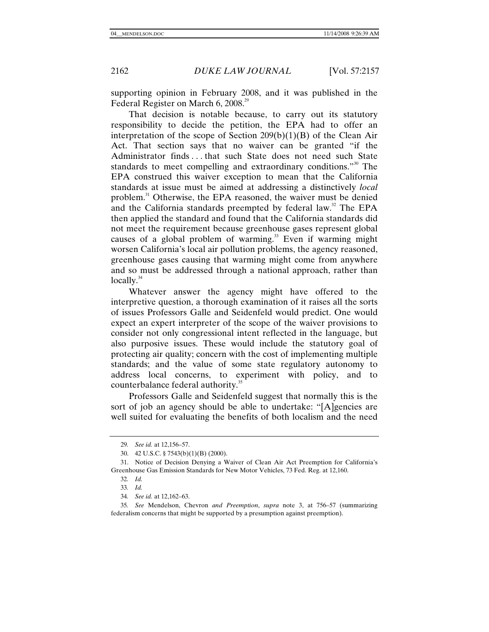supporting opinion in February 2008, and it was published in the Federal Register on March 6, 2008.<sup>29</sup>

That decision is notable because, to carry out its statutory responsibility to decide the petition, the EPA had to offer an interpretation of the scope of Section  $209(b)(1)(B)$  of the Clean Air Act. That section says that no waiver can be granted "if the Administrator finds . . . that such State does not need such State standards to meet compelling and extraordinary conditions."<sup>30</sup> The EPA construed this waiver exception to mean that the California standards at issue must be aimed at addressing a distinctively *local* problem.<sup>31</sup> Otherwise, the EPA reasoned, the waiver must be denied and the California standards preempted by federal law.<sup>32</sup> The EPA then applied the standard and found that the California standards did not meet the requirement because greenhouse gases represent global causes of a global problem of warming.<sup>33</sup> Even if warming might worsen California's local air pollution problems, the agency reasoned, greenhouse gases causing that warming might come from anywhere and so must be addressed through a national approach, rather than  $locally.<sup>34</sup>$ 

Whatever answer the agency might have offered to the interpretive question, a thorough examination of it raises all the sorts of issues Professors Galle and Seidenfeld would predict. One would expect an expert interpreter of the scope of the waiver provisions to consider not only congressional intent reflected in the language, but also purposive issues. These would include the statutory goal of protecting air quality; concern with the cost of implementing multiple standards; and the value of some state regulatory autonomy to address local concerns, to experiment with policy, and to counterbalance federal authority.<sup>35</sup>

Professors Galle and Seidenfeld suggest that normally this is the sort of job an agency should be able to undertake: "[A]gencies are well suited for evaluating the benefits of both localism and the need

<sup>29</sup>*. See id.* at 12,156–57.

 <sup>30. 42</sup> U.S.C. § 7543(b)(1)(B) (2000).

 <sup>31.</sup> Notice of Decision Denying a Waiver of Clean Air Act Preemption for California's Greenhouse Gas Emission Standards for New Motor Vehicles, 73 Fed. Reg. at 12,160.

<sup>32</sup>*. Id.*

<sup>33</sup>*. Id.*

<sup>34</sup>*. See id.* at 12,162–63.

<sup>35</sup>*. See* Mendelson, Chevron *and Preemption*, *supra* note 3, at 756–57 (summarizing federalism concerns that might be supported by a presumption against preemption).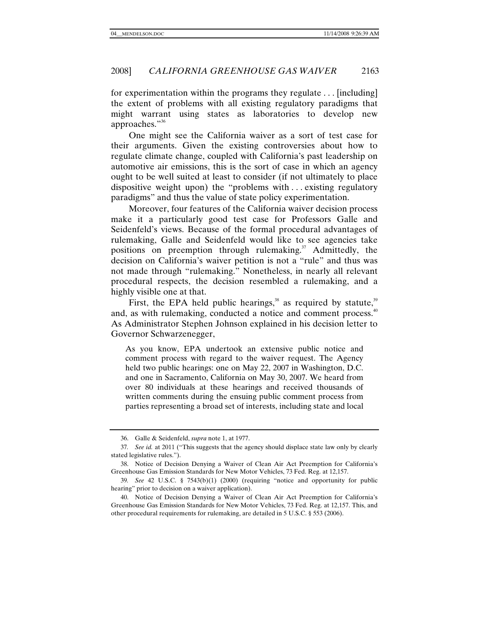for experimentation within the programs they regulate . . . [including] the extent of problems with all existing regulatory paradigms that might warrant using states as laboratories to develop new approaches."<sup>36</sup>

One might see the California waiver as a sort of test case for their arguments. Given the existing controversies about how to regulate climate change, coupled with California's past leadership on automotive air emissions, this is the sort of case in which an agency ought to be well suited at least to consider (if not ultimately to place dispositive weight upon) the "problems with . . . existing regulatory paradigms" and thus the value of state policy experimentation.

Moreover, four features of the California waiver decision process make it a particularly good test case for Professors Galle and Seidenfeld's views. Because of the formal procedural advantages of rulemaking, Galle and Seidenfeld would like to see agencies take positions on preemption through rulemaking.<sup>37</sup> Admittedly, the decision on California's waiver petition is not a "rule" and thus was not made through "rulemaking." Nonetheless, in nearly all relevant procedural respects, the decision resembled a rulemaking, and a highly visible one at that.

First, the EPA held public hearings, $38$  as required by statute, $39$ and, as with rulemaking, conducted a notice and comment process. $40^{\circ}$ As Administrator Stephen Johnson explained in his decision letter to Governor Schwarzenegger,

As you know, EPA undertook an extensive public notice and comment process with regard to the waiver request. The Agency held two public hearings: one on May 22, 2007 in Washington, D.C. and one in Sacramento, California on May 30, 2007. We heard from over 80 individuals at these hearings and received thousands of written comments during the ensuing public comment process from parties representing a broad set of interests, including state and local

 <sup>36.</sup> Galle & Seidenfeld, *supra* note 1, at 1977.

<sup>37</sup>*. See id.* at 2011 ("This suggests that the agency should displace state law only by clearly stated legislative rules.").

 <sup>38.</sup> Notice of Decision Denying a Waiver of Clean Air Act Preemption for California's Greenhouse Gas Emission Standards for New Motor Vehicles, 73 Fed. Reg. at 12,157.

<sup>39</sup>*. See* 42 U.S.C. § 7543(b)(1) (2000) (requiring "notice and opportunity for public hearing" prior to decision on a waiver application).

 <sup>40.</sup> Notice of Decision Denying a Waiver of Clean Air Act Preemption for California's Greenhouse Gas Emission Standards for New Motor Vehicles, 73 Fed. Reg. at 12,157. This, and other procedural requirements for rulemaking, are detailed in 5 U.S.C. § 553 (2006).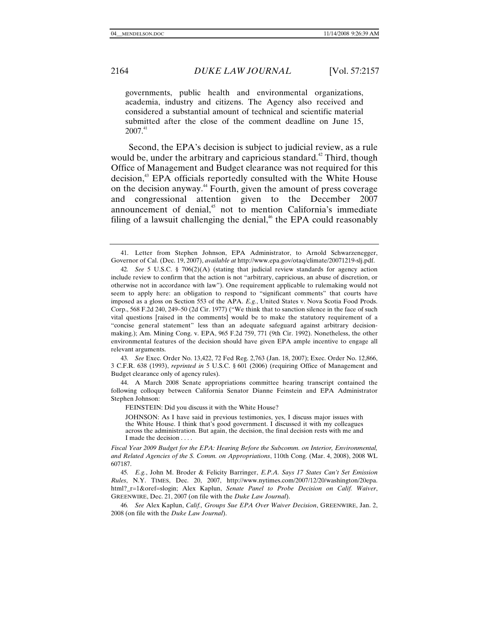governments, public health and environmental organizations, academia, industry and citizens. The Agency also received and considered a substantial amount of technical and scientific material submitted after the close of the comment deadline on June 15,  $2007.<sup>41</sup>$ 

Second, the EPA's decision is subject to judicial review, as a rule would be, under the arbitrary and capricious standard.<sup>42</sup> Third, though Office of Management and Budget clearance was not required for this decision,<sup>43</sup> EPA officials reportedly consulted with the White House on the decision anyway.<sup>44</sup> Fourth, given the amount of press coverage and congressional attention given to the December 2007 announcement of denial, $45$  not to mention California's immediate filing of a lawsuit challenging the denial,<sup> $46$ </sup> the EPA could reasonably

43*. See* Exec. Order No. 13,422, 72 Fed Reg. 2,763 (Jan. 18, 2007); Exec. Order No. 12,866, 3 C.F.R. 638 (1993), *reprinted in* 5 U.S.C. § 601 (2006) (requiring Office of Management and Budget clearance only of agency rules).

 44. A March 2008 Senate appropriations committee hearing transcript contained the following colloquy between California Senator Dianne Feinstein and EPA Administrator Stephen Johnson:

FEINSTEIN: Did you discuss it with the White House?

JOHNSON: As I have said in previous testimonies, yes, I discuss major issues with the White House. I think that's good government. I discussed it with my colleagues across the administration. But again, the decision, the final decision rests with me and I made the decision.

*Fiscal Year 2009 Budget for the EPA: Hearing Before the Subcomm. on Interior, Environmental, and Related Agencies of the S. Comm. on Appropriations*, 110th Cong. (Mar. 4, 2008), 2008 WL 607187.

45*. E.g.*, John M. Broder & Felicity Barringer, *E.P.A. Says 17 States Can't Set Emission Rules*, N.Y. TIMES, Dec. 20, 2007, http://www.nytimes.com/2007/12/20/washington/20epa. html?\_r=1&oref=slogin; Alex Kaplun, *Senate Panel to Probe Decision on Calif. Waiver*, GREENWIRE, Dec. 21, 2007 (on file with the *Duke Law Journal*).

46*. See* Alex Kaplun, *Calif., Groups Sue EPA Over Waiver Decision*, GREENWIRE, Jan. 2, 2008 (on file with the *Duke Law Journal*).

 <sup>41.</sup> Letter from Stephen Johnson, EPA Administrator, to Arnold Schwarzenegger, Governor of Cal. (Dec. 19, 2007), *available at* http://www.epa.gov/otaq/climate/20071219-slj.pdf.

<sup>42</sup>*. See* 5 U.S.C. § 706(2)(A) (stating that judicial review standards for agency action include review to confirm that the action is not "arbitrary, capricious, an abuse of discretion, or otherwise not in accordance with law"). One requirement applicable to rulemaking would not seem to apply here: an obligation to respond to "significant comments" that courts have imposed as a gloss on Section 553 of the APA. *E.g.*, United States v. Nova Scotia Food Prods. Corp., 568 F.2d 240, 249–50 (2d Cir. 1977) ("We think that to sanction silence in the face of such vital questions [raised in the comments] would be to make the statutory requirement of a "concise general statement" less than an adequate safeguard against arbitrary decisionmaking.); Am. Mining Cong. v. EPA, 965 F.2d 759, 771 (9th Cir. 1992). Nonetheless, the other environmental features of the decision should have given EPA ample incentive to engage all relevant arguments.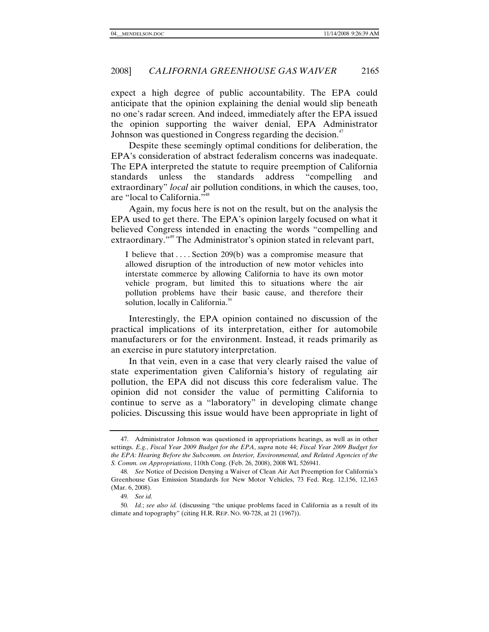expect a high degree of public accountability. The EPA could anticipate that the opinion explaining the denial would slip beneath no one's radar screen. And indeed, immediately after the EPA issued the opinion supporting the waiver denial, EPA Administrator Johnson was questioned in Congress regarding the decision.<sup>47</sup>

Despite these seemingly optimal conditions for deliberation, the EPA's consideration of abstract federalism concerns was inadequate. The EPA interpreted the statute to require preemption of California standards unless the standards address "compelling extraordinary" *local* air pollution conditions, in which the causes, too, are "local to California."<sup>48</sup>

Again, my focus here is not on the result, but on the analysis the EPA used to get there. The EPA's opinion largely focused on what it believed Congress intended in enacting the words "compelling and extraordinary."<sup>49</sup> The Administrator's opinion stated in relevant part,

I believe that . . . . Section 209(b) was a compromise measure that allowed disruption of the introduction of new motor vehicles into interstate commerce by allowing California to have its own motor vehicle program, but limited this to situations where the air pollution problems have their basic cause, and therefore their solution, locally in California.<sup>50</sup>

Interestingly, the EPA opinion contained no discussion of the practical implications of its interpretation, either for automobile manufacturers or for the environment. Instead, it reads primarily as an exercise in pure statutory interpretation.

In that vein, even in a case that very clearly raised the value of state experimentation given California's history of regulating air pollution, the EPA did not discuss this core federalism value. The opinion did not consider the value of permitting California to continue to serve as a "laboratory" in developing climate change policies. Discussing this issue would have been appropriate in light of

 <sup>47.</sup> Administrator Johnson was questioned in appropriations hearings, as well as in other settings. *E.g.*, *Fiscal Year 2009 Budget for the EPA*, *supra* note 44; *Fiscal Year 2009 Budget for the EPA: Hearing Before the Subcomm. on Interior, Environmental, and Related Agencies of the S. Comm. on Appropriations*, 110th Cong. (Feb. 26, 2008), 2008 WL 526941.

<sup>48</sup>*. See* Notice of Decision Denying a Waiver of Clean Air Act Preemption for California's Greenhouse Gas Emission Standards for New Motor Vehicles, 73 Fed. Reg. 12,156, 12,163 (Mar. 6, 2008).

<sup>49</sup>*. See id.*

<sup>50</sup>*. Id.*; *see also id.* (discussing "the unique problems faced in California as a result of its climate and topography" (citing H.R. REP. NO. 90-728, at 21 (1967)).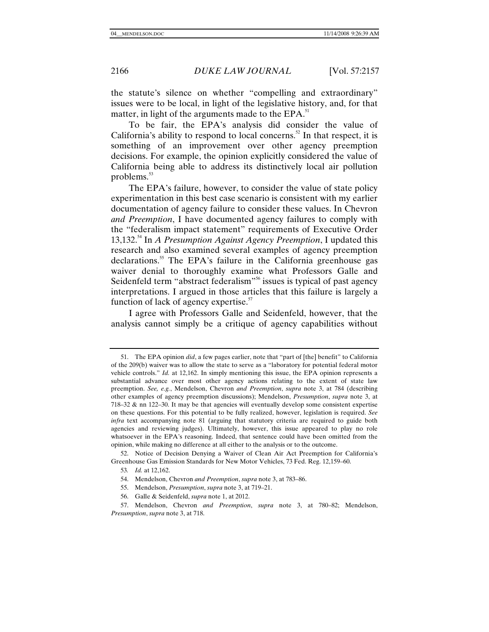the statute's silence on whether "compelling and extraordinary" issues were to be local, in light of the legislative history, and, for that matter, in light of the arguments made to the  $EPA$ .<sup>51</sup>

To be fair, the EPA's analysis did consider the value of California's ability to respond to local concerns.<sup>52</sup> In that respect, it is something of an improvement over other agency preemption decisions. For example, the opinion explicitly considered the value of California being able to address its distinctively local air pollution problems.<sup>53</sup>

The EPA's failure, however, to consider the value of state policy experimentation in this best case scenario is consistent with my earlier documentation of agency failure to consider these values. In Chevron *and Preemption*, I have documented agency failures to comply with the "federalism impact statement" requirements of Executive Order 13,132.54 In *A Presumption Against Agency Preemption*, I updated this research and also examined several examples of agency preemption declarations.<sup>55</sup> The EPA's failure in the California greenhouse gas waiver denial to thoroughly examine what Professors Galle and Seidenfeld term "abstract federalism"<sup>56</sup> issues is typical of past agency interpretations. I argued in those articles that this failure is largely a function of lack of agency expertise. $57$ 

I agree with Professors Galle and Seidenfeld, however, that the analysis cannot simply be a critique of agency capabilities without

 <sup>51.</sup> The EPA opinion *did*, a few pages earlier, note that "part of [the] benefit" to California of the 209(b) waiver was to allow the state to serve as a "laboratory for potential federal motor vehicle controls." *Id.* at 12,162. In simply mentioning this issue, the EPA opinion represents a substantial advance over most other agency actions relating to the extent of state law preemption. *See, e.g.*, Mendelson, Chevron *and Preemption*, *supra* note 3, at 784 (describing other examples of agency preemption discussions); Mendelson, *Presumption*, *supra* note 3, at 718–32 & nn 122–30. It may be that agencies will eventually develop some consistent expertise on these questions. For this potential to be fully realized, however, legislation is required. *See infra* text accompanying note 81 (arguing that statutory criteria are required to guide both agencies and reviewing judges). Ultimately, however, this issue appeared to play no role whatsoever in the EPA's reasoning. Indeed, that sentence could have been omitted from the opinion, while making no difference at all either to the analysis or to the outcome.

 <sup>52.</sup> Notice of Decision Denying a Waiver of Clean Air Act Preemption for California's Greenhouse Gas Emission Standards for New Motor Vehicles, 73 Fed. Reg. 12,159–60.

<sup>53</sup>*. Id.* at 12,162.

 <sup>54.</sup> Mendelson, Chevron *and Preemption*, *supra* note 3, at 783–86.

 <sup>55.</sup> Mendelson, *Presumption*, *supra* note 3, at 719–21.

 <sup>56.</sup> Galle & Seidenfeld, *supra* note 1, at 2012.

 <sup>57.</sup> Mendelson, Chevron *and Preemption*, *supra* note 3, at 780–82; Mendelson, *Presumption*, *supra* note 3, at 718.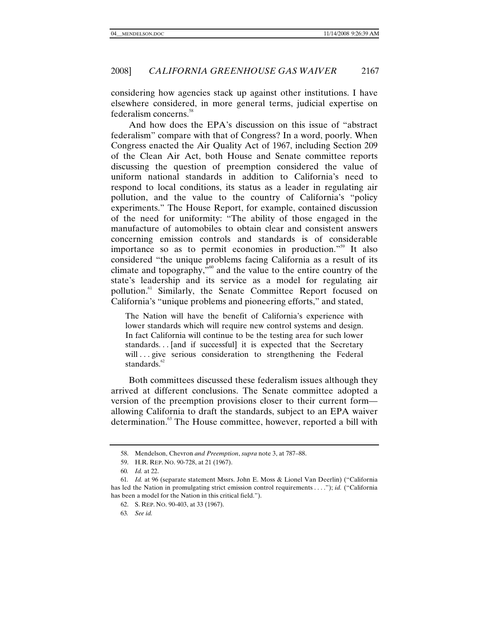considering how agencies stack up against other institutions. I have elsewhere considered, in more general terms, judicial expertise on federalism concerns.<sup>58</sup>

And how does the EPA's discussion on this issue of "abstract federalism" compare with that of Congress? In a word, poorly. When Congress enacted the Air Quality Act of 1967, including Section 209 of the Clean Air Act, both House and Senate committee reports discussing the question of preemption considered the value of uniform national standards in addition to California's need to respond to local conditions, its status as a leader in regulating air pollution, and the value to the country of California's "policy experiments." The House Report, for example, contained discussion of the need for uniformity: "The ability of those engaged in the manufacture of automobiles to obtain clear and consistent answers concerning emission controls and standards is of considerable importance so as to permit economies in production."<sup>59</sup> It also considered "the unique problems facing California as a result of its climate and topography, $\cdot^{60}$  and the value to the entire country of the state's leadership and its service as a model for regulating air pollution.61 Similarly, the Senate Committee Report focused on California's "unique problems and pioneering efforts," and stated,

The Nation will have the benefit of California's experience with lower standards which will require new control systems and design. In fact California will continue to be the testing area for such lower standards. . . [and if successful] it is expected that the Secretary will ... give serious consideration to strengthening the Federal standards.<sup>62</sup>

Both committees discussed these federalism issues although they arrived at different conclusions. The Senate committee adopted a version of the preemption provisions closer to their current form allowing California to draft the standards, subject to an EPA waiver determination.<sup>63</sup> The House committee, however, reported a bill with

 <sup>58.</sup> Mendelson, Chevron *and Preemption*, *supra* note 3, at 787–88.

 <sup>59.</sup> H.R. REP. NO. 90-728, at 21 (1967).

<sup>60</sup>*. Id.* at 22.

<sup>61</sup>*. Id.* at 96 (separate statement Mssrs. John E. Moss & Lionel Van Deerlin) ("California has led the Nation in promulgating strict emission control requirements . . . ."); *id.* ("California has been a model for the Nation in this critical field.").

 <sup>62.</sup> S. REP. NO. 90-403, at 33 (1967).

<sup>63</sup>*. See id.*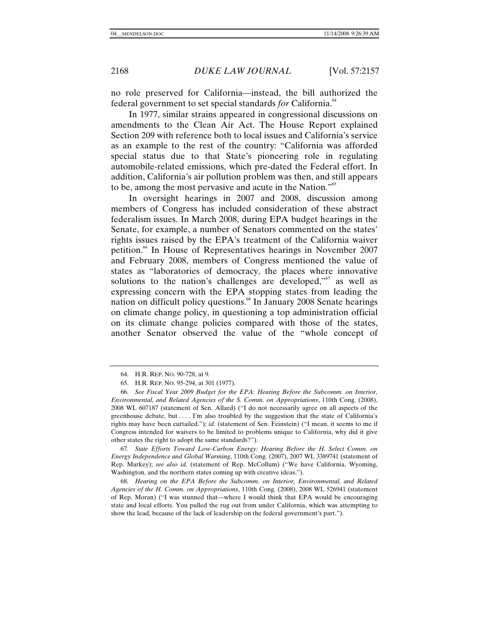no role preserved for California—instead, the bill authorized the federal government to set special standards *for* California.<sup>64</sup>

In 1977, similar strains appeared in congressional discussions on amendments to the Clean Air Act. The House Report explained Section 209 with reference both to local issues and California's service as an example to the rest of the country: "California was afforded special status due to that State's pioneering role in regulating automobile-related emissions, which pre-dated the Federal effort. In addition, California's air pollution problem was then, and still appears to be, among the most pervasive and acute in the Nation."<sup>65</sup>

In oversight hearings in 2007 and 2008, discussion among members of Congress has included consideration of these abstract federalism issues. In March 2008, during EPA budget hearings in the Senate, for example, a number of Senators commented on the states' rights issues raised by the EPA's treatment of the California waiver petition.<sup>66</sup> In House of Representatives hearings in November 2007 and February 2008, members of Congress mentioned the value of states as "laboratories of democracy, the places where innovative solutions to the nation's challenges are developed," $\sigma$  as well as expressing concern with the EPA stopping states from leading the nation on difficult policy questions.<sup>68</sup> In January 2008 Senate hearings on climate change policy, in questioning a top administration official on its climate change policies compared with those of the states, another Senator observed the value of the "whole concept of

67*. State Efforts Toward Low-Carbon Energy: Hearing Before the H. Select Comm. on Energy Independence and Global Warming*, 110th Cong. (2007), 2007 WL 3389741 (statement of Rep. Markey); *see also id.* (statement of Rep. McCollum) ("We have California, Wyoming, Washington, and the northern states coming up with creative ideas.").

68*. Hearing on the EPA Before the Subcomm. on Interior, Environmental, and Related Agencies of the H. Comm. on Appropriations*, 110th Cong. (2008), 2008 WL 526941 (statement of Rep. Moran) ("I was stunned that—where I would think that EPA would be encouraging state and local efforts. You pulled the rug out from under California, which was attempting to show the lead, because of the lack of leadership on the federal government's part.").

 <sup>64.</sup> H.R. REP. NO. 90-728, at 9.

 <sup>65.</sup> H.R. REP. NO. 95-294, at 301 (1977).

<sup>66</sup>*. See Fiscal Year 2009 Budget for the EPA: Hearing Before the Subcomm. on Interior, Environmental, and Related Agencies of the S. Comm. on Appropriations*, 110th Cong. (2008), 2008 WL 607187 (statement of Sen. Allard) ("I do not necessarily agree on all aspects of the greenhouse debate, but . . . . I'm also troubled by the suggestion that the state of California's rights may have been curtailed."); *id.* (statement of Sen. Feinstein) ("I mean, it seems to me if Congress intended for waivers to be limited to problems unique to California, why did it give other states the right to adopt the same standards?").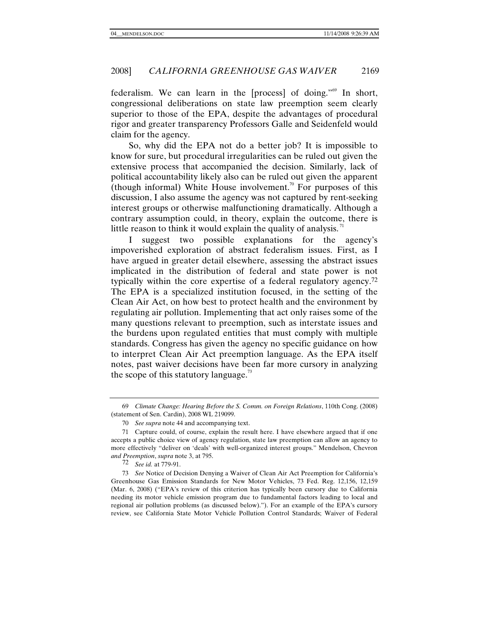federalism. We can learn in the [process] of doing."69 In short, congressional deliberations on state law preemption seem clearly superior to those of the EPA, despite the advantages of procedural rigor and greater transparency Professors Galle and Seidenfeld would claim for the agency.

So, why did the EPA not do a better job? It is impossible to know for sure, but procedural irregularities can be ruled out given the extensive process that accompanied the decision. Similarly, lack of political accountability likely also can be ruled out given the apparent (though informal) White House involvement.<sup>70</sup> For purposes of this discussion, I also assume the agency was not captured by rent-seeking interest groups or otherwise malfunctioning dramatically. Although a contrary assumption could, in theory, explain the outcome, there is little reason to think it would explain the quality of analysis.<sup>71</sup>

I suggest two possible explanations for the agency's impoverished exploration of abstract federalism issues. First, as I have argued in greater detail elsewhere, assessing the abstract issues implicated in the distribution of federal and state power is not typically within the core expertise of a federal regulatory agency.72 The EPA is a specialized institution focused, in the setting of the Clean Air Act, on how best to protect health and the environment by regulating air pollution. Implementing that act only raises some of the many questions relevant to preemption, such as interstate issues and the burdens upon regulated entities that must comply with multiple standards. Congress has given the agency no specific guidance on how to interpret Clean Air Act preemption language. As the EPA itself notes, past waiver decisions have been far more cursory in analyzing the scope of this statutory language.<sup>73</sup>

<sup>69</sup> *Climate Change: Hearing Before the S. Comm. on Foreign Relations*, 110th Cong. (2008) (statement of Sen. Cardin), 2008 WL 219099.

 <sup>70</sup> *See supra* note 44 and accompanying text.

 <sup>71</sup> Capture could, of course, explain the result here. I have elsewhere argued that if one accepts a public choice view of agency regulation, state law preemption can allow an agency to more effectively "deliver on 'deals' with well-organized interest groups." Mendelson, Chevron *and Preemption*, *supra* note 3, at 795.

<sup>72</sup> *See id.* at 779-91.

<sup>73</sup> *See* Notice of Decision Denying a Waiver of Clean Air Act Preemption for California's Greenhouse Gas Emission Standards for New Motor Vehicles, 73 Fed. Reg. 12,156, 12,159 (Mar. 6, 2008) ("EPA's review of this criterion has typically been cursory due to California needing its motor vehicle emission program due to fundamental factors leading to local and regional air pollution problems (as discussed below)."). For an example of the EPA's cursory review, see California State Motor Vehicle Pollution Control Standards; Waiver of Federal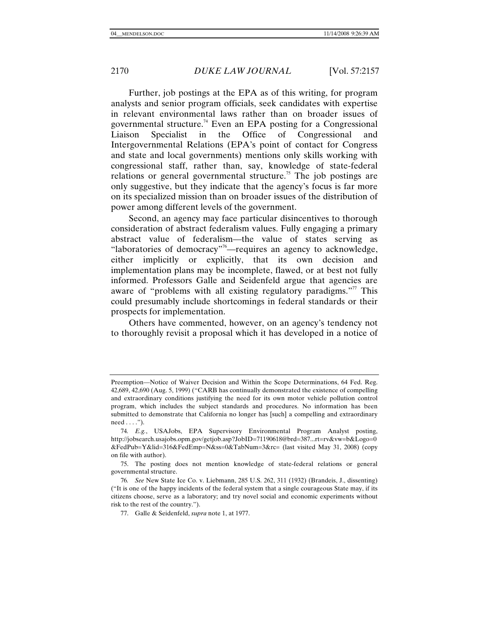Further, job postings at the EPA as of this writing, for program analysts and senior program officials, seek candidates with expertise in relevant environmental laws rather than on broader issues of governmental structure.<sup>74</sup> Even an EPA posting for a Congressional Liaison Specialist in the Office of Congressional and Intergovernmental Relations (EPA's point of contact for Congress and state and local governments) mentions only skills working with congressional staff, rather than, say, knowledge of state-federal relations or general governmental structure.<sup>75</sup> The job postings are only suggestive, but they indicate that the agency's focus is far more on its specialized mission than on broader issues of the distribution of power among different levels of the government.

Second, an agency may face particular disincentives to thorough consideration of abstract federalism values. Fully engaging a primary abstract value of federalism—the value of states serving as "laboratories of democracy"<sup>76</sup>—requires an agency to acknowledge, either implicitly or explicitly, that its own decision and implementation plans may be incomplete, flawed, or at best not fully informed. Professors Galle and Seidenfeld argue that agencies are aware of "problems with all existing regulatory paradigms."<sup>77</sup> This could presumably include shortcomings in federal standards or their prospects for implementation.

Others have commented, however, on an agency's tendency not to thoroughly revisit a proposal which it has developed in a notice of

Preemption—Notice of Waiver Decision and Within the Scope Determinations, 64 Fed. Reg. 42,689, 42,690 (Aug. 5, 1999) ("CARB has continually demonstrated the existence of compelling and extraordinary conditions justifying the need for its own motor vehicle pollution control program, which includes the subject standards and procedures. No information has been submitted to demonstrate that California no longer has [such] a compelling and extraordinary  $need \ldots$ ").

<sup>74</sup>*. E.g.*, USAJobs, EPA Supervisory Environmental Program Analyst posting, http://jobsearch.usajobs.opm.gov/getjob.asp?JobID=71190618@brd=387...rt=rv&vw=b&Logo=0 &FedPub=Y&lid=316&FedEmp=N&ss=0&TabNum=3&rc= (last visited May 31, 2008) (copy on file with author).

 <sup>75.</sup> The posting does not mention knowledge of state-federal relations or general governmental structure.

<sup>76</sup>*. See* New State Ice Co. v. Liebmann, 285 U.S. 262, 311 (1932) (Brandeis, J., dissenting) ("It is one of the happy incidents of the federal system that a single courageous State may, if its citizens choose, serve as a laboratory; and try novel social and economic experiments without risk to the rest of the country.").

 <sup>77.</sup> Galle & Seidenfeld, *supra* note 1, at 1977.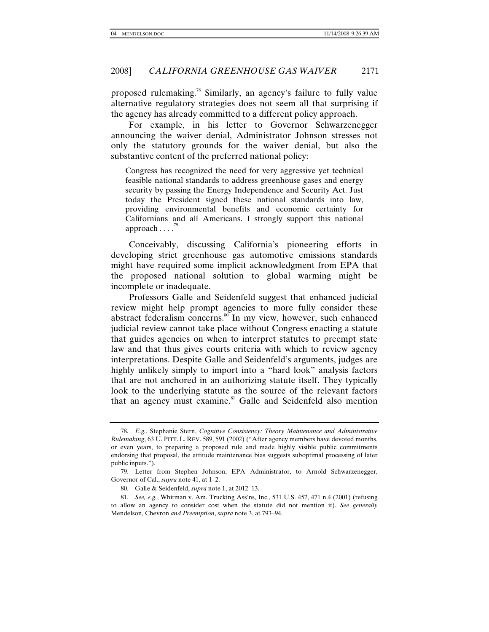proposed rulemaking.78 Similarly, an agency's failure to fully value alternative regulatory strategies does not seem all that surprising if the agency has already committed to a different policy approach.

For example, in his letter to Governor Schwarzenegger announcing the waiver denial, Administrator Johnson stresses not only the statutory grounds for the waiver denial, but also the substantive content of the preferred national policy:

Congress has recognized the need for very aggressive yet technical feasible national standards to address greenhouse gases and energy security by passing the Energy Independence and Security Act. Just today the President signed these national standards into law, providing environmental benefits and economic certainty for Californians and all Americans. I strongly support this national approach  $\ldots$ .

Conceivably, discussing California's pioneering efforts in developing strict greenhouse gas automotive emissions standards might have required some implicit acknowledgment from EPA that the proposed national solution to global warming might be incomplete or inadequate.

Professors Galle and Seidenfeld suggest that enhanced judicial review might help prompt agencies to more fully consider these abstract federalism concerns.<sup>80</sup> In my view, however, such enhanced judicial review cannot take place without Congress enacting a statute that guides agencies on when to interpret statutes to preempt state law and that thus gives courts criteria with which to review agency interpretations. Despite Galle and Seidenfeld's arguments, judges are highly unlikely simply to import into a "hard look" analysis factors that are not anchored in an authorizing statute itself. They typically look to the underlying statute as the source of the relevant factors that an agency must examine.<sup>81</sup> Galle and Seidenfeld also mention

<sup>78</sup>*. E.g.*, Stephanie Stern, *Cognitive Consistency: Theory Maintenance and Administrative Rulemaking*, 63 U. PITT. L. REV. 589, 591 (2002) ("After agency members have devoted months, or even years, to preparing a proposed rule and made highly visible public commitments endorsing that proposal, the attitude maintenance bias suggests suboptimal processing of later public inputs.").

 <sup>79.</sup> Letter from Stephen Johnson, EPA Administrator, to Arnold Schwarzenegger, Governor of Cal., *supra* note 41, at 1–2.

 <sup>80.</sup> Galle & Seidenfeld, *supra* note 1, at 2012–13.

<sup>81</sup>*. See, e.g.*, Whitman v. Am. Trucking Ass'ns, Inc., 531 U.S. 457, 471 n.4 (2001) (refusing to allow an agency to consider cost when the statute did not mention it). *See generally* Mendelson, Chevron *and Preemption*, *supra* note 3, at 793–94.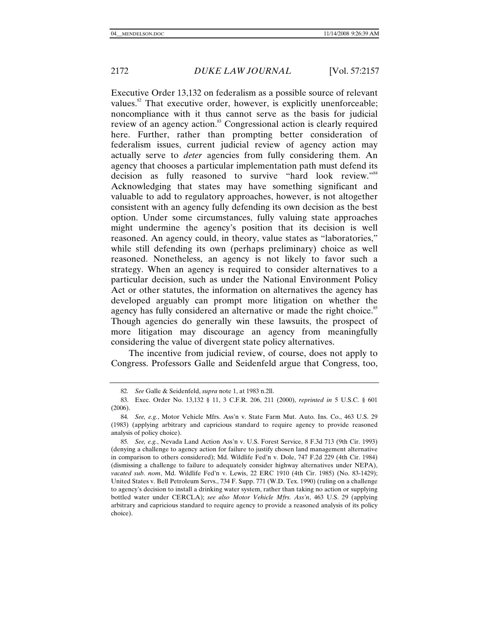Executive Order 13,132 on federalism as a possible source of relevant values.<sup>82</sup> That executive order, however, is explicitly unenforceable; noncompliance with it thus cannot serve as the basis for judicial review of an agency action.<sup>83</sup> Congressional action is clearly required here. Further, rather than prompting better consideration of federalism issues, current judicial review of agency action may actually serve to *deter* agencies from fully considering them. An agency that chooses a particular implementation path must defend its decision as fully reasoned to survive "hard look review."<sup>84</sup> Acknowledging that states may have something significant and valuable to add to regulatory approaches, however, is not altogether consistent with an agency fully defending its own decision as the best option. Under some circumstances, fully valuing state approaches might undermine the agency's position that its decision is well reasoned. An agency could, in theory, value states as "laboratories," while still defending its own (perhaps preliminary) choice as well reasoned. Nonetheless, an agency is not likely to favor such a strategy. When an agency is required to consider alternatives to a particular decision, such as under the National Environment Policy Act or other statutes, the information on alternatives the agency has developed arguably can prompt more litigation on whether the agency has fully considered an alternative or made the right choice.<sup>85</sup> Though agencies do generally win these lawsuits, the prospect of more litigation may discourage an agency from meaningfully considering the value of divergent state policy alternatives.

The incentive from judicial review, of course, does not apply to Congress. Professors Galle and Seidenfeld argue that Congress, too,

<sup>82</sup>*. See* Galle & Seidenfeld, *supra* note 1, at 1983 n.2ll.

 <sup>83.</sup> Exec. Order No. 13,132 § 11, 3 C.F.R. 206, 211 (2000), *reprinted in* 5 U.S.C. § 601 (2006).

<sup>84</sup>*. See, e.g.*, Motor Vehicle Mfrs. Ass'n v. State Farm Mut. Auto. Ins. Co., 463 U.S. 29 (1983) (applying arbitrary and capricious standard to require agency to provide reasoned analysis of policy choice).

<sup>85</sup>*. See, e.g.*, Nevada Land Action Ass'n v. U.S. Forest Service, 8 F.3d 713 (9th Cir. 1993) (denying a challenge to agency action for failure to justify chosen land management alternative in comparison to others considered); Md. Wildlife Fed'n v. Dole, 747 F.2d 229 (4th Cir. 1984) (dismissing a challenge to failure to adequately consider highway alternatives under NEPA), *vacated sub. nom*, Md. Wildlife Fed'n v. Lewis, 22 ERC 1910 (4th Cir. 1985) (No. 83-1429); United States v. Bell Petroleum Servs., 734 F. Supp. 771 (W.D. Tex. 1990) (ruling on a challenge to agency's decision to install a drinking water system, rather than taking no action or supplying bottled water under CERCLA); *see also Motor Vehicle Mfrs. Ass'n*, 463 U.S. 29 (applying arbitrary and capricious standard to require agency to provide a reasoned analysis of its policy choice).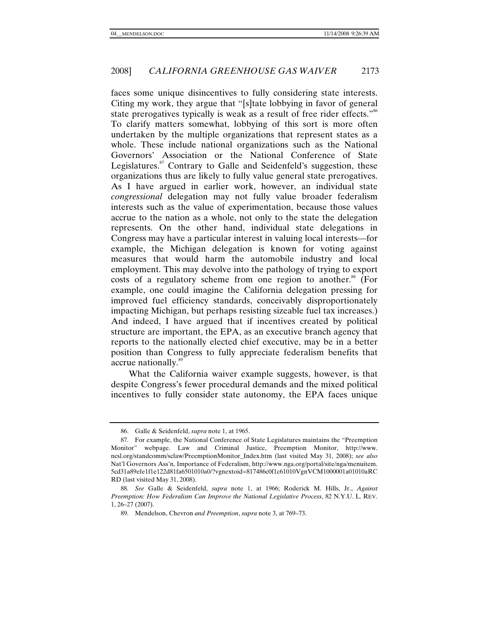faces some unique disincentives to fully considering state interests. Citing my work, they argue that "[s]tate lobbying in favor of general state prerogatives typically is weak as a result of free rider effects."<sup>86</sup> To clarify matters somewhat, lobbying of this sort is more often undertaken by the multiple organizations that represent states as a whole. These include national organizations such as the National Governors' Association or the National Conference of State Legislatures.<sup>87</sup> Contrary to Galle and Seidenfeld's suggestion, these organizations thus are likely to fully value general state prerogatives. As I have argued in earlier work, however, an individual state *congressional* delegation may not fully value broader federalism interests such as the value of experimentation, because those values accrue to the nation as a whole, not only to the state the delegation represents. On the other hand, individual state delegations in Congress may have a particular interest in valuing local interests—for example, the Michigan delegation is known for voting against measures that would harm the automobile industry and local employment. This may devolve into the pathology of trying to export costs of a regulatory scheme from one region to another.<sup>88</sup> (For example, one could imagine the California delegation pressing for improved fuel efficiency standards, conceivably disproportionately impacting Michigan, but perhaps resisting sizeable fuel tax increases.) And indeed, I have argued that if incentives created by political structure are important, the EPA, as an executive branch agency that reports to the nationally elected chief executive, may be in a better position than Congress to fully appreciate federalism benefits that accrue nationally.<sup>89</sup>

What the California waiver example suggests, however, is that despite Congress's fewer procedural demands and the mixed political incentives to fully consider state autonomy, the EPA faces unique

 <sup>86.</sup> Galle & Seidenfeld, *supra* note 1, at 1965.

 <sup>87.</sup> For example, the National Conference of State Legislatures maintains the "Preemption Monitor" webpage. Law and Criminal Justice, Preemption Monitor, http://www. ncsl.org/standcomm/sclaw/PreemptionMonitor\_Index.htm (last visited May 31, 2008); *see also* Nat'l Governors Ass'n, Importance of Federalism, http://www.nga.org/portal/site/nga/menuitem. 5cd31a89efe1f1e122d81fa6501010a0/?vgnextoid=817486c0f1c61010VgnVCM1000001a01010aRC RD (last visited May 31, 2008).

<sup>88</sup>*. See* Galle & Seidenfeld, *supra* note 1, at 1966; Roderick M. Hills, Jr., *Against Preemption: How Federalism Can Improve the National Legislative Process*, 82 N.Y.U. L. REV. 1, 26–27 (2007).

 <sup>89.</sup> Mendelson, Chevron *and Preemption*, *supra* note 3, at 769–73.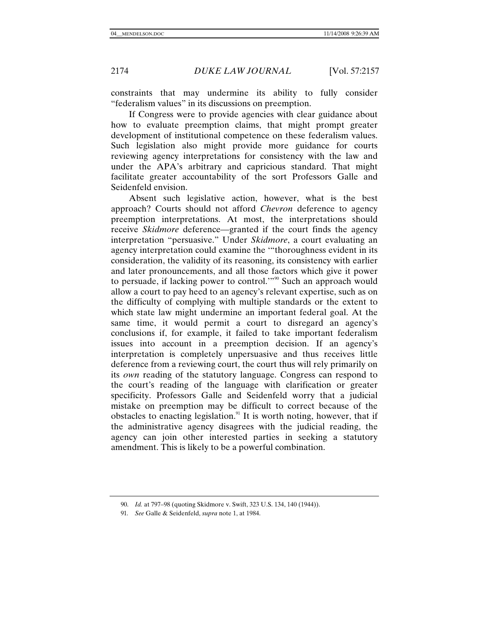constraints that may undermine its ability to fully consider "federalism values" in its discussions on preemption.

If Congress were to provide agencies with clear guidance about how to evaluate preemption claims, that might prompt greater development of institutional competence on these federalism values. Such legislation also might provide more guidance for courts reviewing agency interpretations for consistency with the law and under the APA's arbitrary and capricious standard. That might facilitate greater accountability of the sort Professors Galle and Seidenfeld envision.

Absent such legislative action, however, what is the best approach? Courts should not afford *Chevron* deference to agency preemption interpretations. At most, the interpretations should receive *Skidmore* deference—granted if the court finds the agency interpretation "persuasive." Under *Skidmore*, a court evaluating an agency interpretation could examine the '"thoroughness evident in its consideration, the validity of its reasoning, its consistency with earlier and later pronouncements, and all those factors which give it power to persuade, if lacking power to control."<sup>90</sup> Such an approach would allow a court to pay heed to an agency's relevant expertise, such as on the difficulty of complying with multiple standards or the extent to which state law might undermine an important federal goal. At the same time, it would permit a court to disregard an agency's conclusions if, for example, it failed to take important federalism issues into account in a preemption decision. If an agency's interpretation is completely unpersuasive and thus receives little deference from a reviewing court, the court thus will rely primarily on its *own* reading of the statutory language. Congress can respond to the court's reading of the language with clarification or greater specificity. Professors Galle and Seidenfeld worry that a judicial mistake on preemption may be difficult to correct because of the obstacles to enacting legislation.<sup>91</sup> It is worth noting, however, that if the administrative agency disagrees with the judicial reading, the agency can join other interested parties in seeking a statutory amendment. This is likely to be a powerful combination.

 <sup>90.</sup> *Id.* at 797–98 (quoting Skidmore v. Swift, 323 U.S. 134, 140 (1944)).

<sup>91</sup>*. See* Galle & Seidenfeld, *supra* note 1, at 1984.